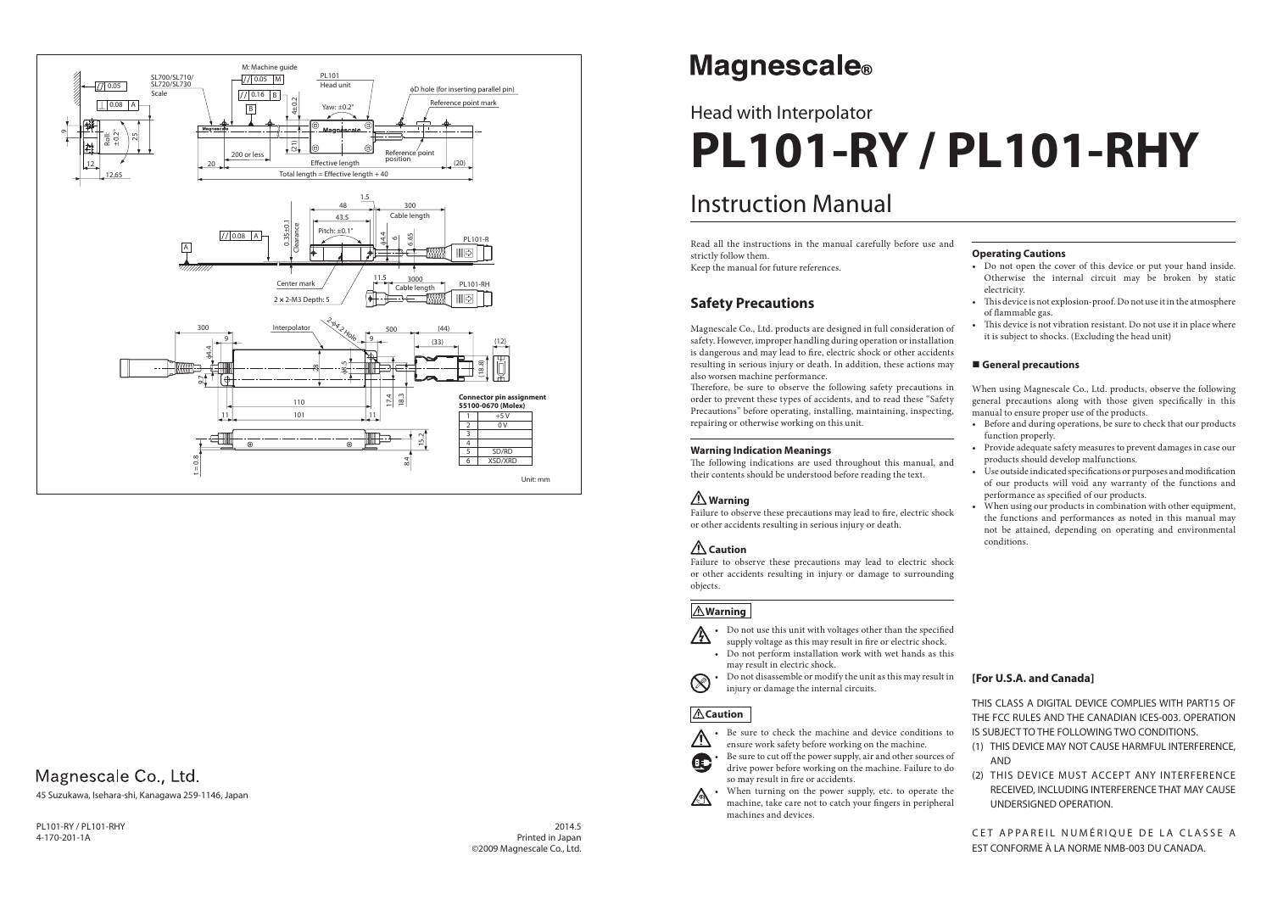# Instruction Manual

# Head with Interpolator **PL101-RY / PL101-RHY**

#### **Operating Cautions**

- Do not open the cover of this device or put your hand inside. Otherwise the internal circuit may be broken by static electricity.
- This device is not explosion-proof. Do not use it in the atmosphere of flammable gas.
- This device is not vibration resistant. Do not use it in place where it is subject to shocks. (Excluding the head unit)

#### **General precautions**

When using Magnescale Co., Ltd. products, observe the following general precautions along with those given specifically in this manual to ensure proper use of the products.

- Before and during operations, be sure to check that our products function properly.
- Provide adequate safety measures to prevent damages in case our products should develop malfunctions.
- Use outside indicated specifications or purposes and modification of our products will void any warranty of the functions and performance as specified of our products.
- When using our products in combination with other equipment, the functions and performances as noted in this manual may not be attained, depending on operating and environmental conditions.

Therefore, be sure to observe the following safety precautions in order to prevent these types of accidents, and to read these "Safety Precautions" before operating, installing, maintaining, inspecting, repairing or otherwise working on this unit.

The following indications are used throughout this manual, and their contents should be understood before reading the text.

Failure to observe these precautions may lead to fire, electric shock or other accidents resulting in serious injury or death.

Read all the instructions in the manual carefully before use and strictly follow them.

Keep the manual for future references.

## **Safety Precautions**

Be sure to check the machine and device conditions to ensure work safety before working on the machine.

Be sure to cut off the power supply, air and other sources of drive power before working on the machine. Failure to do so may result in fire or accidents.

Magnescale Co., Ltd. products are designed in full consideration of safety. However, improper handling during operation or installation is dangerous and may lead to fire, electric shock or other accidents resulting in serious injury or death. In addition, these actions may also worsen machine performance.

> When turning on the power supply, etc. to operate the machine, take care not to catch your fingers in peripheral machines and devices.

 $20145$ Printed in Japan ©2009 Magnescale Co., Ltd.

# **Magnescale**®

CET APPAREIL NUMÉRIQUE DE LA CLASSE A EST CONFORME À LA NORME NMB-003 DU CANADA.

#### **Warning Indication Meanings**

# **Warning**

### **Caution**

Failure to observe these precautions may lead to electric shock or other accidents resulting in injury or damage to surrounding objects.

#### **Warning**

• Do not use this unit with voltages other than the specified  $\mathbb{A}$ supply voltage as this may result in fire or electric shock.

- Do not perform installation work with wet hands as this may result in electric shock. • Do not disassemble or modify the unit as this may result in  $\otimes$ 
	- injury or damage the internal circuits.

#### **Caution**



 $\bigoplus$ 

PL101-RY / PL101-RHY 4-170-201-1A

#### **[For U.S.A. and Canada]**

THIS CLASS A DIGITAL DEVICE COMPLIES WITH PART15 OF THE FCC RULES AND THE CANADIAN ICES-003. OPERATION IS SUBJECT TO THE FOLLOWING TWO CONDITIONS.

- (1) THIS DEVICE MAY NOT CAUSE HARMFUL INTERFERENCE, AND
- (2) THIS DEVICE MUST ACCEPT ANY INTERFERENCE RECEIVED, INCLUDING INTERFERENCE THAT MAY CAUSE UNDERSIGNED OPERATION.



# Magnescale Co., Ltd.

45 Suzukawa, Isehara-shi, Kanagawa 259-1146, Japan